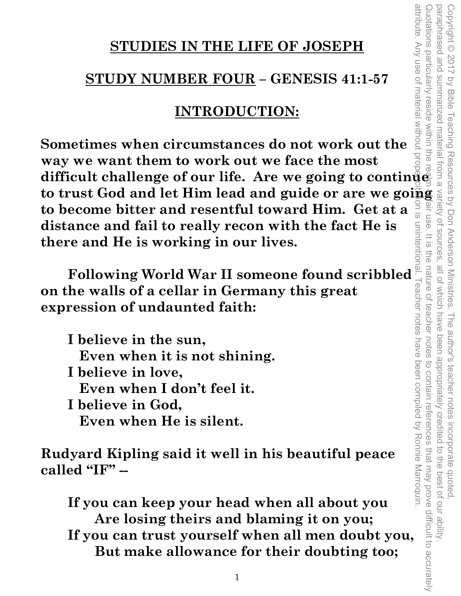# **STUDIES IN THE LIFE OF JOSEPH**

# **STUDY NUMBER FOUR – GENESIS 41:1-57**

# **INTRODUCTION:**

**Sometimes when circumstances do not work out the way we want them to work out we face the most**  difficult challenge of our life. Are we going to continue<br>to trust Cod and let  $\Pi$ . **STUDIES IN THE LIFE OF JOSEPH**<br> **STUDY NUMBER FOUR – GENESIS 41:1-57**<br> **STUDY NUMBER FOUR – GENESIS 41:1-57**<br> **EXERCULN – GENESIS 41:1-57**<br> **EXERCULN – GENESIS 41:1-57**<br> **EXERCULN CONDICITION:**<br> **EXERCULN CONDICITION:**<br> **to become bitter and resentful toward Him. Get at a distance and fail to really recon with the fact He is there and He is working in our lives.** 

**on the walls of a cellar in Germany this great expression of undaunted faith:** 

**EXERCT AND THE SET OF SURFALL STATES IN SET ON MATRIM SCRIPT AND MATRIM SCRIPT AND NOT UNION SCRIPT AND NOT UNION SCRIPT AND NOT UNION SCRIPT AND NOT UNION SCRIPT AND SURFALL UPP.<br>
The believe in the sun, Even when it is I believe in the sun, Even when it is not shining. I believe in love, Even when I don't feel it. I believe in God, Even when He is silent.** 

**Rudyard Kipling said it well in his beautiful peace called "IF" --** 

 **If you can keep your head when all about you Are losing theirs and blaming it on you; If you can trust yourself when all men doubt you, But make allowance for their doubting too;** 

attribute. Any use of material without attribute. Any use of material without proper citation is unintentional. Teacher notes have been compiled by Ronnie Marroquin. Quotations particularly reside within the realm of fair use. It is the nature of teacher notes to contain references that may prove difficult to accurately paraphrased and summarized material from a variety of sources, all of which have been appropriately credited to the best of our ability. Copyright © 2017 by Bible Teaching Resources by Don Anderson Ministries. The author's teacher notes incorporate quoted, luotations particularly reside within the fair use. It is  $\overline{5}$ ine nature of teacher notes to contain references that may prove difficult to accurately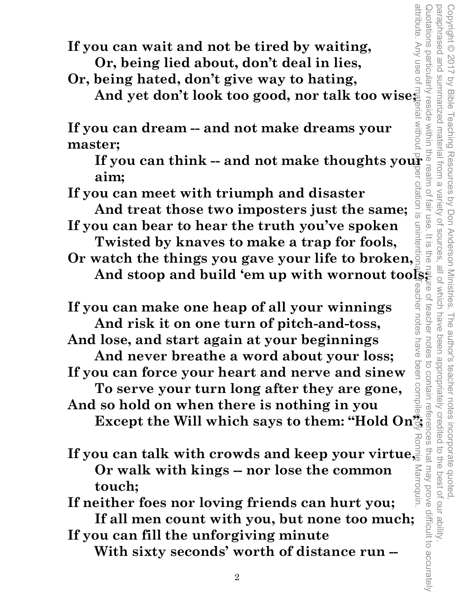**If you can wait and not be tired by waiting, Or, being lied about, don't deal in lies,** 

 **Or, being hated, don't give way to hating, And yet don't look too good, nor talk too wise;** 

**If you can dream -- and not make dreams your master;** 

**If you can think -- and not make thoughts your aim;**   $\bigcirc$ 

 **If you can meet with triumph and disaster** 

 **And treat those two imposters just the same; If you can bear to hear the truth you've spoken** 

 **Twisted by knaves to make a trap for fools, Or watch the things you gave your life to broken,**  attribute. Any use of material without proper citation is unintentional. Teacher notes have been compiled by Ronnie Marroquin. Copyright © 2017 by Bible Teaching Resources by Don Anderson Ministries. The author's teacher notes incorporate quoted,

by Bible Teaching Resources by Don Anderson Ministries.

paraphrased and summarized material from a variety of sources, all of which have been appropriately credited to the best of our ability.

all of which have

The author's teacher notes incorporate quoted,<br>have been appropriately credited to the best of our ability

Variety of sources fair use

Quotations particularly reside within the realm of fair use. It is the nature of teacher notes to contain references that may prove difficult to accurately

feacher

 $rac{1}{\sqrt{2}}$ 

attribute. Any use of

 $\overline{\overline{\omega}}$ 

paraphrased and Copyright © 2017

Summarized material from a

And stoop and build 'em up with wornout tools;<br>
ou can make one heap of all your winnings<br>
And risk it on one turn of pitch-and-toss,  **If you can make one heap of all your winnings And risk it on one turn of pitch-and-toss,** 

 **And lose, and start again at your beginnings And never breathe a word about your loss;** 

 **If you can force your heart and nerve and sinew To serve your turn long after they are gone,** 

 **And so hold on when there is nothing in you Except the Will which says to them: "Hold On";** 

**If you can talk with crowds and keep your virtue, Or walk with kings -- nor lose the common**  Marroquin **touch;** 

 **If neither foes nor loving friends can hurt you; If all men count with you, but none too much;** 

 **If you can fill the unforgiving minute** 

 **With sixty seconds' worth of distance run --**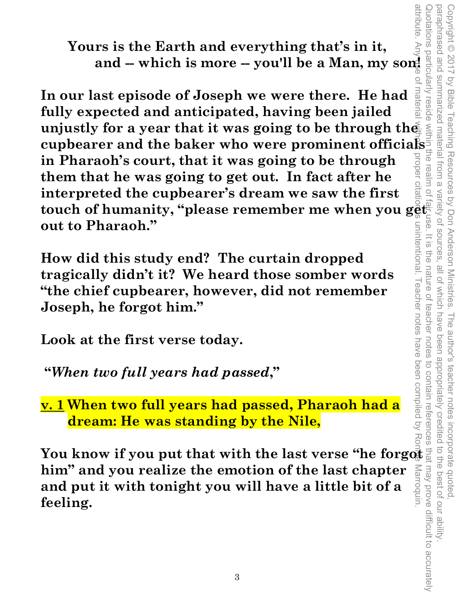**Yours is the Earth and everything that's in it, and -- which is more -- you'll be a Man, my son!** 

**In our last episode of Joseph we were there. He had fully expected and anticipated, having been jailed unjustly for a year that it was going to be through the curves is the Earth and everything that's in it,<br>
and -- which is more -- you'll be a Man, my some**  $\frac{1}{2}$ **<br>
In our last episode of Joseph we were there. He had<br>
fully expected and anticipated, having been jailed<br>
unjus in Pharaoh's court, that it was going to be through them that he was going to get out. In fact after he interpreted the cupbearer's dream we saw the first**  touch of humanity, "please remember me when you ge<del>t"</del> **out to Pharaoh."** 

**How did this study end? The curtain dropped tragically didn't it? We heard those somber words "the chief cupbearer, however, did not remember Joseph, he forgot him."** 

**Look at the first verse today.** 

 **"***When two full years had passed***,"** 

**v. 1 When two full years had passed, Pharaoh had a dream: He was standing by the Nile,** 

**You know if you put that with the last verse "he forgot him" and you realize the emotion of the last chapter and put it with tonight you will have a little bit of a feeling.** 

attribute. attribute. Any use of material without proper citation is unintentional. Teacher notes have been compiled by Ronnie Marroquin. Quotations particularly reside within the realm of fair use. It is the nature of teacher notes to contain references that may prove difficult to accurately Copyright © 2017 by Bible Teaching Resources by Don Anderson Ministries. The author's teacher notes incorporate quoted,<br>paraphrased and summarized material from a variety of sources, all of which have been appropriately c paraphrased and summarized material from a variety of sources, all of which have been appropriately credited to the best of our ability. Copyright © 2017 by Bible Teaching Resources by Don Anderson Ministries. The author's teacher notes incorporate quoted, or materia unintentional. I eacher notes ine nature of feacher notes rroquin.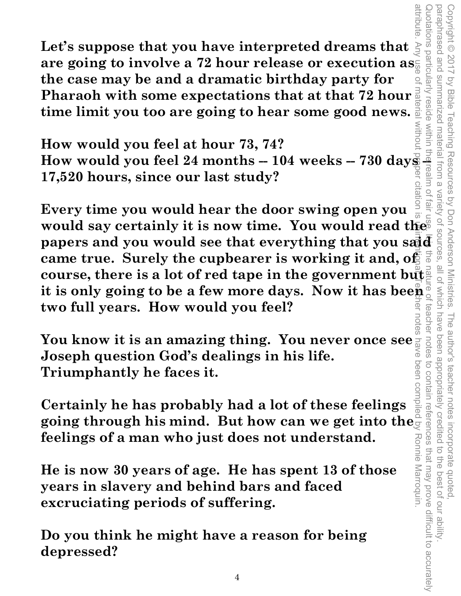**Let's suppose that you have interpreted dreams that are going to involve a 72 hour release or execution as the case may be and a dramatic birthday party for Pharaoh with some expectations that at that 72 hour at time limit you too are going to hear some good news. time limit you too are going to hear some good news.** 

**How would you feel at hour 73, 74? Example 24 months -- 104 weeks -- 730 days -- 17,520 hours, since our last study? 17,520 hours, since our last study?** 

**Every time you would hear the door swing open you would say certainly it is now time. You would read the papers and you want in the line of the papers and you want in the papers of the state of the state of the papers of the state of the state of the state of the state o papers and you would see that everything that you said came true. Surely the cupbearer is working it and, of course, there is a lot of red tape in the government but it is only going to be a few more days. Now it has been two full years. How would you feel?**  attribute. Any use of material without proper citation is unintentional. Teacher notes have been compiled by Ronnie Marroquin.

Copyright © 2017 by Bible Teaching Resources by Don Anderson Ministries. The author's teacher notes incorporate quoted,

The author's teacher notes

been appropriately credited

Teaching Resources by Don Anderson Ministries.

paraphrased and summarized material from a variety of sources, all of which have been appropriately credited to the best of our ability.

which have teacher

 $\frac{10}{2}$ 

Variety of sources.

 $\overline{2}$ 

paraphrased and Copyright © 2017

Vy Bible

votations particularly

Quotations particularly reside within the realm of fair use. It is the nature of teacher notes to contain references that may prove difficult to accurately

notes

to contain references that may prove difficult to accurately

incorporate quoted,<br>edited to the best of our ability

**You know it is an amazing thing. You never once see Joseph question God's dealings in his life. Triumphantly he faces it.** 

**Certainly he has probably had a lot of these feelings going through his mind. But how can we get into the feelings of a man who just does not understand.**  Ronnie Marroquin

**He is now 30 years of age. He has spent 13 of those years in slavery and behind bars and faced excruciating periods of suffering.** 

**Do you think he might have a reason for being depressed?**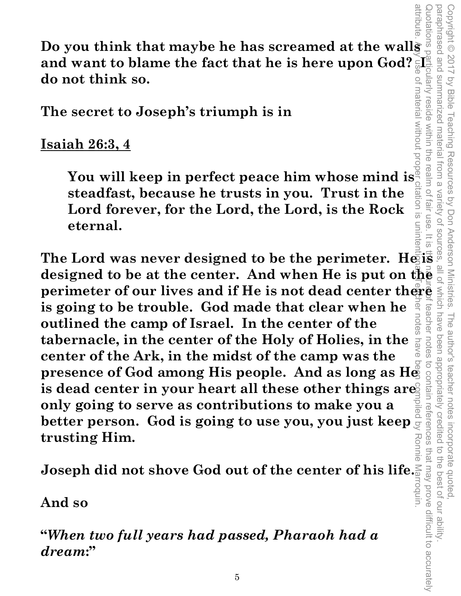uninter

**Do you think that maybe he has screamed at the walls** and want to blame the fact that he is here upon God?  $\bar{\mathbb{S}}\mathbb{I}^2$ **do not think so.** 

**The secret to Joseph's triumph is in** 

# **Isaiah 26:3, 4**

**Example 20:**<br> **Point is in**<br> **Ah 26:3, 4**<br> **You will keep in perfect peace him whose mind is**  $\frac{20}{3}$ **steadfast, because he trusts in you. Trust in the Lord forever, for the Lord, the Lord, is the Rock eternal. The Lord was never designed to be the perimeter. He is a set of the Lord was never designed to be the perimeter. He is a set of**  $\frac{1}{2}$  **is**  $\frac{1}{2}$ **. The Lord was never designed to be the perimeter. He is a set of \frac{1** 

**designed to be at the center. And when He is put on the perimeter of our lives and if He is not dead center thereor**<br>is going to be trouble. God made that clear when he<br>outlined the camp of Israel. In the center of the **is going to be trouble. God made that clear when he outlined the camp of Israel. In the center of the tabernacle, in the center of the Holy of Holies, in the center of the Ark, in the midst of the camp was the presence of God among His people. And as long as He is dead center in your heart all these other things are only going to serve as contributions to make you a better person. God is going to use you, you just keep trusting Him.**  attribute. Any use of material without proper citation is unintentional. Teacher notes have been compiled by Ronnie Marroquin.

**Joseph did not shove God out of the center of his life.** 

**And so** 

**"***When two full years had passed, Pharaoh had a dream***:"**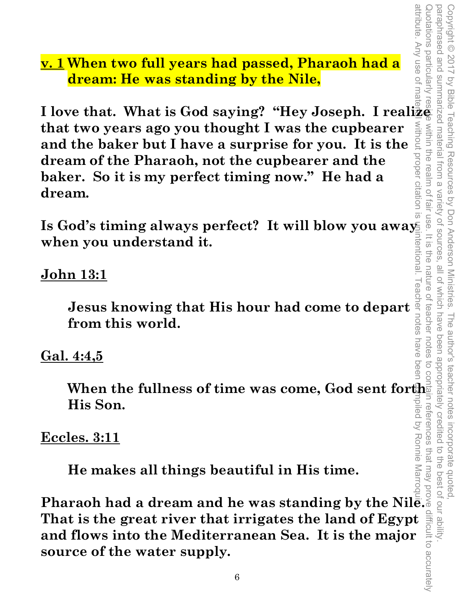**v. 1 When two full years had passed, Pharaoh had a dream: He was standing by the Nile,** 

**I love that. What is God saying? "Hey Joseph. I realize that two years ago you thought I was the cupbearer and the baker but I have a surprise for you. It is the dream of the Pharaoh, not the cupbearer and the baker. So it is my perfect timing now." He had a dream.** 

Is God's timing always perfect? It will blow you awa<u>ys</u> **when you understand it.** 

# **John 13:1**

**Jesus knowing that His hour had come to depart from this world.** 

# **Gal. 4:4,5**

**When the fullness of time was come, God sent forth His Son.** 

# **Eccles. 3:11**

 **He makes all things beautiful in His time.** 

**Pharaoh had a dream and he was standing by the Nile. That is the great river that irrigates the land of Egypt and flows into the Mediterranean Sea. It is the major source of the water supply.**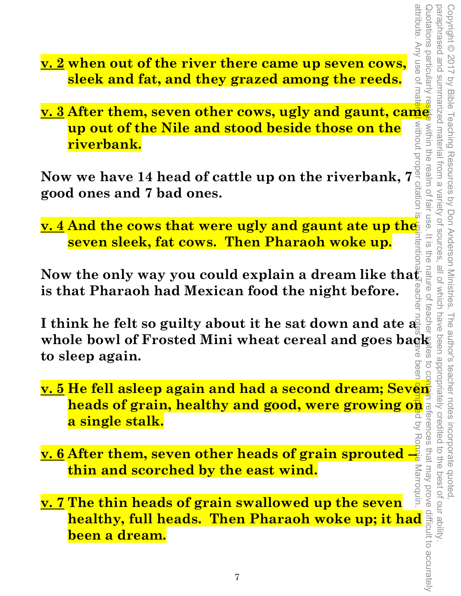- attribute. Any use of material without proper citation is unintentional. Teacher notes have been compiled by Ronnie Marroquin. Quotations particularly reside within the realm of fair use. It is the nature of teacher motes to contain references that may prove difficult to accurately paraphrased and summarized material from a paraphrased and summarized material from a variety of sources, all of which have been appropriately credited to the best of our ability. Copyright © 2017 by Bible Teaching Resources by Don Anderson Ministries. Copyright © 2017 by Bible Teaching Resources by Don Anderson Ministries. The author's teacher notes incorporate quoted, within the realm of fair use. Variety of sources  $rac{1}{\sqrt{2}}$ rientio ine nature o all of which have been appropriately credited teache . The author's teacher notes incorporate quoted,<br>I have been appropriately credited to the best of our ability  $\overrightarrow{C}$ avoid vem tem
- **v. 2 when out of the river there came up seven cows, sleek and fat, and they grazed among the reeds.**
- **v. 3 After them, seven other cows, ugly and gaunt, came up out of the Nile and stood beside those on the riverbank.**

**Now we have 14 head of cattle up on the riverbank, 7 good ones and 7 bad ones.** 

**<u>v. 4 And the cows that were ugly and gaunt ate up the</u> seven sleek, fat cows. Then Pharaoh woke up.** 

**Now the only way you could explain a dream like that is that Pharaoh had Mexican food the night before.** 

I think he felt so guilty about it he sat down and ate  $a_n^{\bar{S}}$ whole bowl of Frosted Mini wheat cereal and goes back **to sleep again.** 

- **v. 5 He fell asleep again and had a second dream; Seven heads of grain, healthy and good, were growing on a**<br>**a single stalk.**<br>a single stalk. **a single stalk.**
- **<u>v. 6</u> After them, seven other heads of grain sprouted --<br>
thin and scorched by the east wind.<br>
v. 7 The thin heads of grain swallowed up the seven thin and scorched by the east wind.**
- **v. 7 The thin heads of grain swallowed up the seven healthy, full heads. Then Pharaoh woke up; it had**  $\frac{d}{dt}$ **<br>been a dream.**<br><sup>7</sup> **been a dream.**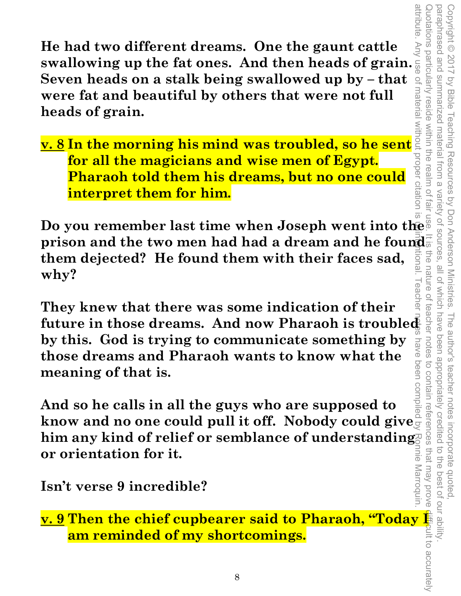**He had two different dreams. One the gaunt cattle He had two different dreams. One the gaunt cattle**<br>swallowing up the fat ones. And then heads of grain. <sup>5</sup><br>Seven heads on a stalk being swallowed up by – that<br>were fat and beautiful by others that were not full<br>heads of **Seven heads on a stalk being swallowed up by – that were fat and beautiful by others that were not full heads of grain.** 

**v. 8 In the morning his mind was troubled, so he sent for all the magicians and wise men of Egypt. Pharaoh told them his dreams, but no one could interpret them for him.** 

attribute. Any use of material without proper citation is unintentional. Teacher notes have been compiled by Ronnie Marroquin. Quotations particularly reside within the realm of fair use. It is the nature of teacher notes to contain references that may prove difficult to accurately **Do you remember last time when Joseph went into the prison and the two men had had a dream and he found**  $\frac{1}{2}$ **them dejected? He found them with their faces sad,**  inai nature **why?** 

Copyright © 2017 by Bible Teaching Resources by Don Anderson Ministries. The author's teacher notes incorporate quoted,

Teaching Resources by Don Anderson Ministries.

paraphrased and summarized material from a variety of sources, all of which have been appropriately credited to the best of our ability.

**all of** 

**HICh have** ceache

notes

to contain references that may prove

been appropriately credited

incorporate quoted,<br>edited to the best of our ability

The author's teacher notes

attribute

paraphrased and

**Summarized** 

material

from a

Variety of sources

epises outions particularly reside

Copyright © 2017 by Bible

**They knew that there was some indication of their future in those dreams. And now Pharaoh is troubled by this. God is trying to communicate something by those dreams and Pharaoh wants to know what the meaning of that is.** 

**And so he calls in all the guys who are supposed to know and no one could pull it off. Nobody could give him any kind of relief or semblance of understanding**  nne Marroquin **or orientation for it.** 

**Isn't verse 9 incredible?** 

**<u>v. 9</u> Then the chief cupbearer said to Pharaoh, "Today <b>I am reminded of my shortcomings.**<br> **am reminded of my shortcomings.**<br>
<sup>8</sup> **am reminded of my shortcomings.**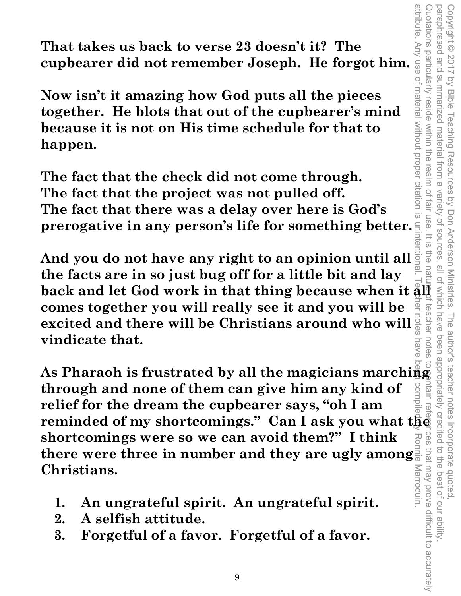attribute. Any use of material without proper citation is unintentional. Teacher notes have been compiled by Ronnie Marroquin. Quotations particularly reside within the realm of fair use. It is the nature of teacher notes to spintain references that may prove difficult to accurately paraphrased and paraphrased and summarized material from a variety of sources, all of which have been appropriately credited to the best of our ability. Copyright © 2017 by Bible Teaching Resources by Don Anderson Ministries. The author's teacher notes incorporate quoted, Copyright © 2017 wotations particularly reside within the realm of summarized material from a by Bible Teaching Resources by Don Anderson Ministries. Variety of sources fair use  $rac{1}{\sqrt{2}}$ ine all of Which have teacher notes nave **ICeS** 

**That takes us back to verse 23 doesn't it? The** 

That takes us back to verse 23 doesn't it? The<br>cupbearer did not remember Joseph. He forgot him.<br>Now isn't it amazing how God puts all the pieces<br>together. He blots that out of the cupbearer's mind<br>because it is not on His **Now isn't it amazing how God puts all the pieces together. He blots that out of the cupbearer's mind because it is not on His time schedule for that to happen.** 

**The fact that the check did not come through. The fact that the project was not pulled off. The fact that there was a delay over here is God's prerogative in any person's life for something better.** 

**And you do not have any right to an opinion until all the facts are in so just bug off for a little bit and lay**  back and let God work in that thing because when it  $\hat{\mathbf{a}}$  ll **comes together you will really see it and you will be excited and there will be Christians around who will vindicate that.** 

**Excrited and there will be Christians around who will assume that will be christians around who will as a state of value of them can give him any kind of a state of**  $\frac{3}{8}$  **as**  $\frac{3}{8}$  **as**  $\frac{3}{8}$  **as**  $\frac{3}{8}$  **as \frac{ through and none of them can give him any kind of relief for the dream the cupbearer says, "oh I am reminded of my shortcomings." Can I ask you what the shortcomings were so we can avoid them?" I think shortcomings were so we can avoid them?"** I think shortcomings were so we can avoid them?" I think shortcomes that may prove difficult to accurately Marroquin **Christians.** 

- **1. An ungrateful spirit. An ungrateful spirit.**
- **2. A selfish attitude.**
- **3. Forgetful of a favor. Forgetful of a favor.**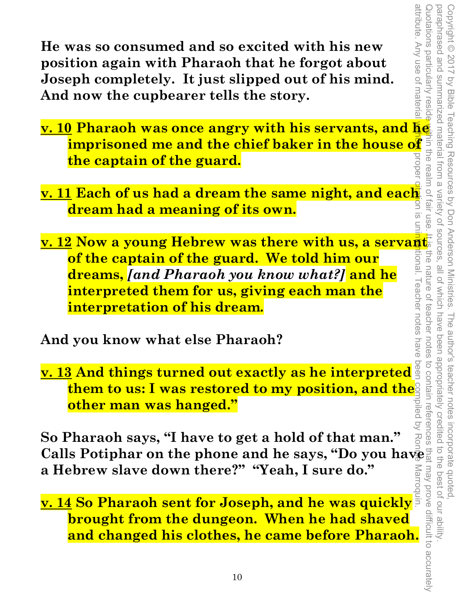**He was so consumed and so excited with his new position again with Pharaoh that he forgot about Joseph completely. It just slipped out of his mind. And now the cupbearer tells the story.** 

- **v. 10 Pharaoh was once angry with his servants, and he imprisoned me and the chief baker in the house of the captain of the guard.**  Quotations particularly reside within the realm of fair use. It is the nature of teacher notes to contain references that may prove difficult to accurately
- **v. 11 Each of us had a dream the same night, and each dream had a meaning of its own.**   $\overline{\odot}$
- attribute. Any use of material without proper citation is unintentional. Teacher notes have been compiled by Ronnie Marroquin. **<u>v. 12</u> Now a young Hebrew was there with us, a servant.<br>The captain of the guard. We told him our and**  $\frac{1}{2}$ ltional. **of the captain of the guard. We told him our dreams,** *[and Pharaoh you know what?]* **and he**  I eacher notes **interpreted them for us, giving each man the interpretation of his dream.**

Copyright © 2017 by Bible Teaching Resources by Don Anderson Ministries. The author's teacher notes incorporate quoted,

paraphrased and summarized material from a variety of sources, all of which have been appropriately credited to the best of our ability.

nature of

teachel

have notes

 $\overline{O}$ 

difficult to accurately

Copyright © 2017 by Bible Teaching Resources by Don Anderson Ministries. The author's teacher notes incorporate quoted,<br>paraphrased and summarized material from a variety of sources, all of which have been appropriately c

attribute. Any use of materia Quotations particularly resid

in the rea

**Tall USe** 

**And you know what else Pharaoh?** 

**v. 13 And things turned out exactly as he interpreted them to us: I was restored to my position, and the other man was hanged."** 

**So Pharaoh says, "I have to get a hold of that man." Calls Potiphar on the phone and he says, "Do you have a Hebrew slave down there?" "Yeah, I sure do." Marroo** 

**v. 14 So Pharaoh sent for Joseph, and he was quickly brought from the dungeon. When he had shaved and changed his clothes, he came before Pharaoh.**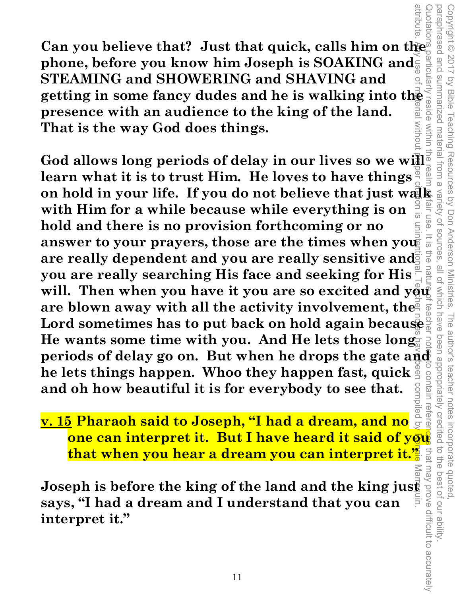**Can you believe that? Just that quick, calls him on the phone, before you know him Joseph is SOAKING and STEAMING and SHOWERING and SHAVING and getting in some fancy dudes and he is walking into the presence with an audience to the king of the land.**<br>That is the way God does things. **presence with an audience to the king of the land. That is the way God does things.** 

attribute. Any use of meyerial without p<del>ro</del>per citation is unintent<u>ion</u>al. Teacher notes have been compiled by <mark>Ronnie</mark> Marroquin. Quotations particularly reside within the realm of fair use. It is the nature of teacher notes to contain references that may prove difficult to accurately **God allows long periods of delay in our lives so we will learn what it is to trust Him. He loves to have things on hold in your life. If you do not believe that just walk with Him for a while because while everything is on**  $\frac{5}{5}$  **and hold and there is no provision forthcoming or no<br>answer to your prayers, those are the times whe with Him for a while because while everything is on**  use. **hold and there is no provision forthcoming or no answer to your prayers, those are the times when you**   $\overline{5}$ **are really dependent and you are really sensitive and you are really searching His face and seeking for His**  will. Then when you have it you are so excited and you<sup>?</sup> **are blown away with all the activity involvement, the Lord sometimes has to put back on hold again because**  He wants some time with you. And He lets those long **periods of delay go on. But when he drops the gate and he lets things happen. Whoo they happen fast, quick and oh how beautiful it is for everybody to see that.** 

Copyright © 2017 by Bible Teaching Resources by Don Anderson Ministries. The author's teacher notes incorporate quoted,

The author's teacher notes

been appropriately credited

incorporate quoted,<br>edited to the best of our ability

Resources by Don Anderson Ministries.

paraphrased and summarized material from a variety of sources, all of which have been appropriately credited to the best of our ability.

all of Which have

paraphrased and Copyright © 2017

summarized material

trom a

by Bible

Teaching

ntain refere iled b **v. 15 Pharaoh said to Joseph, "I had a dream, and no one can interpret it. But I have heard it said of you that when you hear a dream you can interpret it."** 

**Example 12. The United State Wear of the land and the king just a space of the land and the king just a space says, "I had a dream and I understand that you can<br>
interpret it."<br>
interpret it."<br>
<sup>11</sup> says, "I had a dream and I understand that you can interpret it."**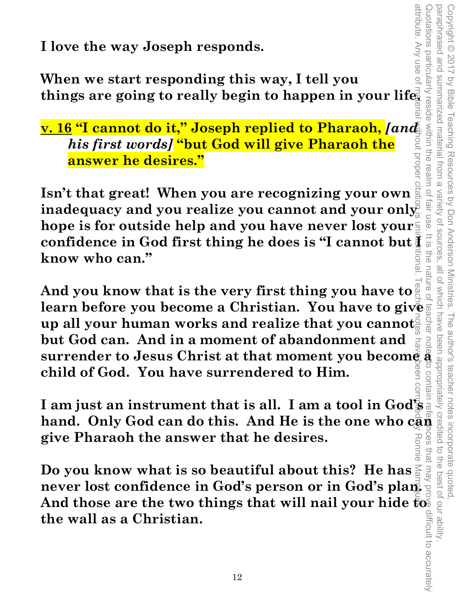**I love the way Joseph responds.** 

**When we start responding this way, I tell you things are going to really begin to happen in your life.** 

# **v. 16 "I cannot do it," Joseph replied to Pharaoh,** *[and his first words]* **"but God will give Pharaoh the answer he desires."**

**Isn't that great! When you are recognizing your own inadequacy and you realize you cannot and your only hope is for outside help and you have never lost your confidence in God first thing he does is "I cannot but**  $\frac{1}{2}$ **"**<br>know who can." **know who can."** 

Copyright © 2017 by Bible Teaching Resources by Don Anderson Ministries. The author's teacher notes incorporate quoted,

Teaching Resources by Don Anderson Ministries.

paraphrased and summarized material from a variety of sources, all of which have been appropriately credited to the best of our ability.

all of Which have

variety of sources

paraphrased and Copyright © 2017

summarized material

l trom a

prope

by Bible

attribute. Any use of material without proper citation is unintentional. Teacher notes have been compiled by Ronnie Marroquin. nature o **And you know that is the very first thing you have to**  learn before you become a Christian. You have to give **definition**<br>up all your human works and realize that you cannot **surrender to Jou become a** christian. To that the set of  $\frac{1}{2}$  and  $\frac{1}{2}$  and  $\frac{1}{2}$  and  $\frac{1}{2}$  and  $\frac{1}{2}$  and  $\frac{1}{2}$  and  $\frac{1}{2}$  and  $\frac{1}{2}$  and  $\frac{1}{2}$  and  $\frac{1}{2}$  and  $\frac{1}{2}$  and  $\frac{1}{2}$ **up all your human works and realize that you cannot but God can. And in a moment of abandonment and child of God. You have surrendered to Him.** 

**I am just an instrument that is all. I am a tool in God's hand. Only God can do this. And He is the one who can**  nces **give Pharaoh the answer that he desires.** 

**Do you know what is so beautiful about this? He has never lost confidence in God's person or in God's plan.**  And those are the two things that will nail your hide  $\bar{\bar{\mathbf{t}}}$ o $\bar{\bar{\mathbf{s}}}$ **the wall as a Christian.**  Quotations particularly reside within the realm of fair use. It is the nature of teacher notes to contain references that may prove difficult to accurately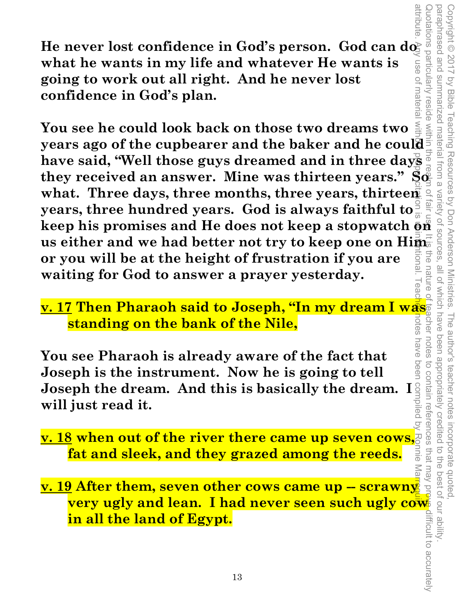He never lost confidence in God's person. God can do **what he wants in my life and whatever He wants is going to work out all right. And he never lost confidence in God's plan.** 

attribute. Any use of material withory proper citation is unitentional. Teacher nave been compiled by Ronnie Marroquin. **You see he could look back on those two dreams two years ago of the cupbearer and the baker and he could have said, "Well those guys dreamed and in three days they received an answer. Mine was thirteen years." So**  what. Three days, three months, three years, thirteen  $\frac{1}{2}$ **years, three hundred years. God is always faithful to keep his promises and He does not keep a stopwatch on**  us either and we had better not try to keep one on Him. **or you will be at the height of frustration if you are**  Б)<br>Э **waiting for God to answer a prayer yesterday.** 

Copyright © 2017 by Bible Teaching Resources by Don Anderson Ministries. The author's teacher notes incorporate quoted,

The author's teacher notes

been appropriately credited

incorporate quoted,<br>edited to the best of our ability

Teaching Resources by Don Anderson Ministries. variety of

paraphrased and summarized material from a variety of sources, all of which have been appropriately credited to the best of our ability.

all of which have

**TSOUITCES** 

EDG

nature

notes nave

paraphrased and Copyright © 2017

summarized material from a

**by Bible** 

wotations particularly

9S∏

 $\overline{O}$ 

**TMateria** reside

**v. 17 Then Pharaoh said to Joseph, "In my dream I was**  notes **standing on the bank of the Nile,** 

**You see Pharaoh is already aware of the fact that Joseph is the instrument. Now he is going to tell Joseph the dream. And this is basically the dream. I will just read it.** 

**<u>v. 18</u> when out of the river there came up seven cows,**  $\frac{1}{2}$  **fat and sleek, and they grazed among the reeds. fat and sleek, and they grazed among the reeds.** 

**v. 19 After them, seven other cows came up -- scrawny very ugly and lean. I had never seen such ugly cow in all the land of Egypt.**  Quotations particularly reside within the rearm of fair use. It is the nature of teacher notes to contain references that may prove difficult to accurately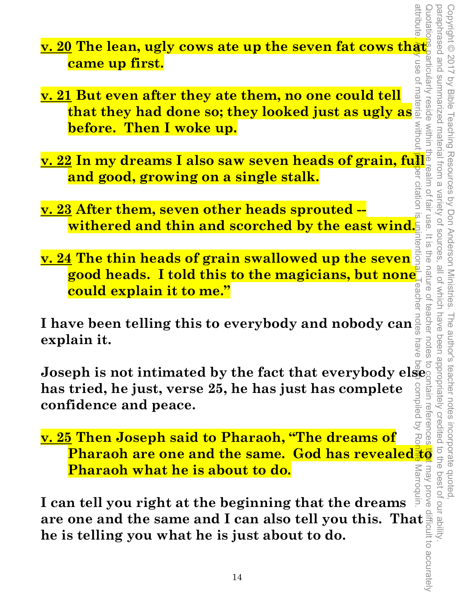attribute. <mark>An</mark>y use of material without proper citation is unintentional. Teacher notes have been compiled by Ro<mark>nnie</mark> Marroquin. Quotations particularly reside within the realm of fair use. It is the nature of teacher notes to contain references to thay prove difficult to accurately paraphrased and paraphrased and summarized material from a variety of sources, all of which have been appropriately credited to the best of our ability. Copyright © 2017 by Bible Teaching Resources by Don Anderson Ministries. The author's teacher notes incorporate quoted, Copyright © 2017 by Bible Teaching Resources by Don Anderson Ministries. summarized material from a 0112110 Variety of sources Tall<sup>r</sup> USe  $\bar{\vec{\circ}}$  $\overline{\infty}$ ite<br>S all of which have nature of  $\overline{\overline{6}}$ teacher notes The author's teacher notes been appropriately credited have ス<br>C may prove **Marroq** 

- **v. 20 The lean, ugly cows ate up the seven fat cows that came up first.**
- **v. 21 But even after they ate them, no one could tell <u>t</u> But even after they ate them, no one could tell**  $\frac{1}{6}$ **<br>that they had done so; they looked just as ugly as**  $\frac{1}{6}$ **<br>before. Then I woke up. before. Then I woke up. <u>v. 21</u> But even after they ate them, no one could tell as**  $\frac{1}{9}$  **and they had done so; they looked just as ugly as**  $\frac{1}{9}$  $\frac{2}{9}$  **before. Then I woke up.<br>
<u>v. 22</u> In my dreams I also saw seven heads of grain, ful**
- **and good, growing on a single stalk.**
- **v. 23 After them, seven other heads sprouted withered and thin and scorched by the east wind.**
- **v. 24 The thin heads of grain swallowed up the seven good heads. I told this to the magicians, but none could explain it to me."**

**I have been telling this to everybody and nobody can explain it.** 

**Joseph is not intimated by the fact that everybody else has tried, he just, verse 25, he has just has complete confidence and peace.** 

**v. 25 Then Joseph said to Pharaoh, "The dreams of Example 12 Seph said to Pharaoh, "The dreams of and property of a state of property. The area of property of the same. God has revealed**  $\frac{1}{2}$  **of a state of the same and the same of the same state of the same and I can Pharaoh what he is about to do.** 

**I can tell you right at the beginning that the dreams are one and the same and I can also tell you this. That**<br>he is telling you what he is just about to do.<br>
<sup>14</sup> **he is telling you what he is just about to do.**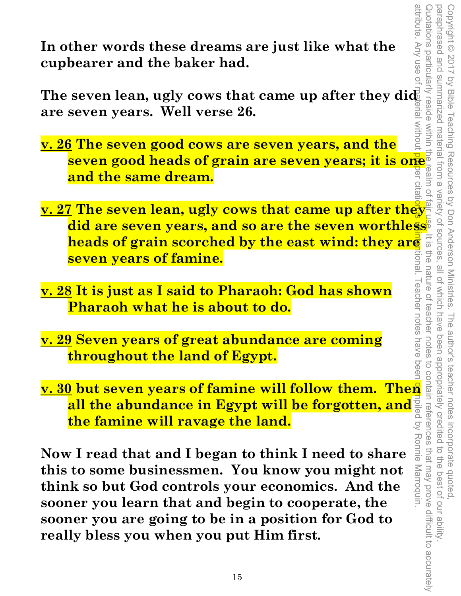attribute. Any use of material without p<mark>ro</mark>per citation is upintentional. Teacher notes have been compiled by Ronnie Marroquin. Quotations particularly reside within the realm of fair use. It is the nature of teacher notes to contain references that may prove difficult to accurately Copyright © 2017 by Bible Teaching Resources by Don Anderson Ministries. The author's teacher notes incorporate quoted,<br>paraphrased and summarized material from a variety of sources, all of which have been appropriately c paraphrased and summarized material from a variety of sources, all of which have been appropriately credited to the best of our ability. Copyright © 2017 by Bible Teaching Resources by Don Anderson Ministries. The author's teacher notes incorporate quoted, I eacher notes have beer teacher notes

**In other words these dreams are just like what the cupbearer and the baker had.** 

The seven lean, ugly cows that came up after they did **are seven years. Well verse 26.** 

- **v. 26 The seven good cows are seven years, and the seven good heads of grain are seven years; it is one and the same dream.**
- **v. 27 The seven lean, ugly cows that came up after they did are seven years, and so are the seven worthless heads of grain scorched by the east wind: they are<br>
seven years of famine.<br><u>8</u> It is just as I said to Pharaoh: God has shown Isnoi seven years of famine.**
- **v. 28 It is just as I said to Pharaoh: God has shown Pharaoh what he is about to do.**
- **v. 29 Seven years of great abundance are coming throughout the land of Egypt.**
- **the famine will ravage the land.**

**v. 30 but seven years of famine will follow them. Then all the abundance in Egypt will be forgotten, and**  $\frac{1}{2}$  **and the famine will ravage the land.<br>
Now I read that and I began to think I need to share**  $\frac{1}{2}$  **and all the abundance in Egypt will be forgotten, and**  $\frac{1}{2}$ **<br><b>the famine will ravage the land.**<br><br>**v I read that and I began to think I need to share**<br>**is to some businessmen. You know you might not<br>lik so but God controls Now I read that and I began to think I need to share this to some businessmen. You know you might not think so but God controls your economics. And the sooner you learn that and begin to cooperate, the sooner you are going to be in a position for God to really bless you when you put Him first.**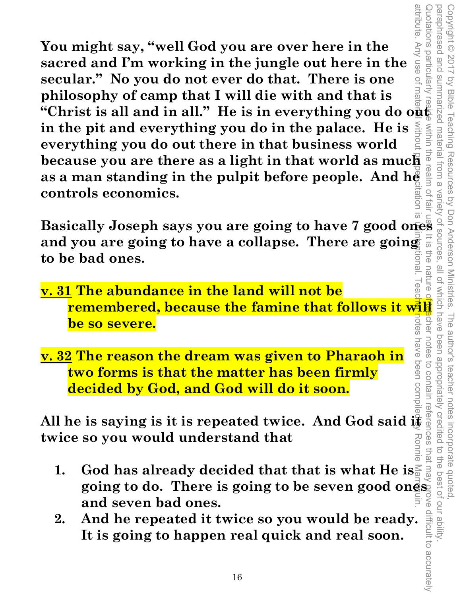attribute. attribute. Any use of material without proper citation is unintentional. Teacher notes have been compiled by Ronnie Marroquin. **You might say, "well God you are over here in the**  Any use o **sacred and I'm working in the jungle out here in the secular." No you do not ever do that. There is one philosophy of camp that I will die with and that is**  "Christ is all and in all." He is in everything you do o<del>ne</del> **in the pit and everything you do in the palace. He is everything you do out there in that business world because you are there as a light in that world as much as a man standing in the pulpit before people. And here is controls economics.** as a man standing in the pulpit before people. And he **controls economics.** 

**Basically Joseph says you are going to have 7 good ones and you are going to have a collapse. There are going**  FD<sub>6</sub> **to be bad ones.** 

Copyright © 2017 by Bible Teaching Resources by Don Anderson Ministries. The author's teacher notes incorporate quoted,

The author's teacher notes

incorporate quoted  $\overrightarrow{C}$ 

the best of our ability

been appropriately creditec

by Bible Teaching Resources by Don Anderson Ministries.

paraphrased and summarized material from a variety of sources, all of which have been appropriately credited to the best of our ability.

iener

notes

have been comp to contair io lle

paraphrased and Copyright © 2017

summarized material from a

uotations particularly

- **v. 31 The abundance in the land will not be**  remembered, because the famine that follows it will see the so-severe. notes **be so severe.**
- **v. 32 The reason the dream was given to Pharaoh in two forms is that the matter has been firmly decided by God, and God will do it soon.**

**All he is saying is it is repeated twice. And God said if**  $\frac{1}{2}$  **twice so you would understand that twice so you would understand that** 

- Quotations particularly reside within the realm of fair use. It is the nature of teacher notes to contain references that may prove difficult to accurately that may **1. God has already decided that that is what He is going to do. There is going to be seven good ones and seven bad ones.**
- **2. And he repeated it twice so you would be ready. It is going to happen real quick and real soon.**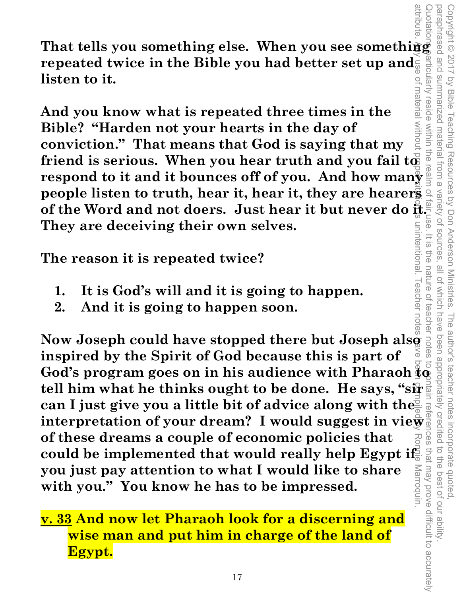**That tells you something else. When you see something**  repeated twice in the Bible you had better set up and **listen to it.** 

material **And you know what is repeated three times in the MILDOUT Bible? "Harden not your hearts in the day of conviction." That means that God is saying that my**  friend is serious. When you hear truth and you fail to **respond to it and it bounces off of you. And how many people listen to truth, hear it, hear it, they are hearers**  of the Word and not doers. Just hear it but never do  $\frac{2}{N}$ .<br>They are deceiving their own selves. **They are deceiving their own selves.**  unintentional

Copyright © 2017 by Bible Teaching Resources by Don Anderson Ministries. The author's teacher notes incorporate quoted,

Teaching Resources by Don Anderson Ministries.

paraphrased and summarized material from a variety of sources, all of which have been appropriately credited to the best of our ability.

all of which have

The author's teacher notes incorporate quoted,<br>have been appropriately credited to the best of our ability

Variety of sources

 $=$   $\frac{1}{2}$ 

FIG<sub>O</sub>

nature o

paraphrased and Copyright © 2017

summarized material from a

reside within the

by Bible

articularly

**The reason it is repeated twice?** 

- **1. It is God's will and it is going to happen.**
- **2. And it is going to happen soon.**

attribute. Any use of material without proper citation is unintentional. Teacher notes have been compiled by Ronnie Marroquin. Quotations particularly reside within the realm of fair use. It is the nature of teacher notes to contain references that may prove difficult to accurately 1. It is God's will and it is going to happen.<br>
2. And it is going to happen soon.<br>
Now Joseph could have stopped there but Joseph also also also inspired by the Spirit of God because this is part of teachel **inspired by the Spirit of God because this is part of God's program goes on in his audience with Pharaoh to tell him what he thinks ought to be done. He says, "sir can I just give you a little bit of advice along with the can I just give you a little bit of advice along with the interpretation of your dream? I would suggest in view**  $\frac{1}{2}$  **of these dreams a couple of economic policies that**  $\frac{1}{2}$ **of these dreams a couple of economic policies that**  that may prove difficult to accurately could be implemented that would really help Egypt if **you just pay attention to what I would like to share**  Marroquin **with you." You know he has to be impressed.** 

**v. 33 And now let Pharaoh look for a discerning and wise man and put him in charge of the land of Egypt.**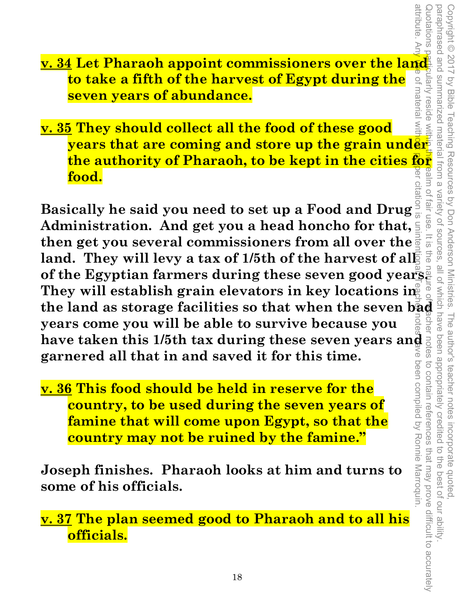**v. 34 Let Pharaoh appoint commissioners over the land to take a fifth of the harvest of Egypt during the**  of materia **seven years of abundance.** 

Quotations particularly reside within the realm of fair use. It is the nature of teacher notes to contain references that may prove difficult to accurately reside wit **v. 35 They should collect all the food of these good years that are coming and store up the grain under the authority of Pharaoh, to be kept in the cities for food.** 

attribute. Any use of material without proper citation is unintentional. Teacher notes have been compiled by Ronnie Marroquin. Basically he said you need to set up a Food and Drug  $\frac{1}{2}$ <br>
Administration. And get you a head honcho for that,  $\frac{1}{2}$  is  $\frac{1}{2}$  is  $\frac{1}{2}$  and. They will levy a tax of 1/5th of the harvest of all  $\frac{1}{2}$  is **Basically he said you need to set up a Food and Drug Administration. And get you a head honcho for that, then get you several commissioners from all over the**  land. They will levy a tax of 1/5th of the harvest of all **of the Egyptian farmers during these seven good years. They will establish grain elevators in key locations in years come you will be able to survive because you have taken this 1/5th tax during these seven years and**  $\frac{3}{5}$  **garnered all that in and saved it for this time. garnered all that in and saved it for this time.**  ⋦ been compiled by Ronnie Marroquin. to contain references that may prove difficult to accurately

Copyright © 2017 by Bible Teaching Resources by Don Anderson Ministries. The author's teacher notes incorporate quoted,

Copyright © 2017 by Bible Teaching Resources by Don Anderson Ministries.

paraphrased and summarized material from a variety of sources, all of which have been appropriately credited to the best of our ability.

fair use

 $rac{1}{\sqrt{2}}$ 

attribute

paraphrased and

suotations

**Auein** 

**v. 36 This food should be held in reserve for the country, to be used during the seven years of famine that will come upon Egypt, so that the country may not be ruined by the famine."** 

**Joseph finishes. Pharaoh looks at him and turns to some of his officials.** 

**v. 37 The plan seemed good to Pharaoh and to all his officials.**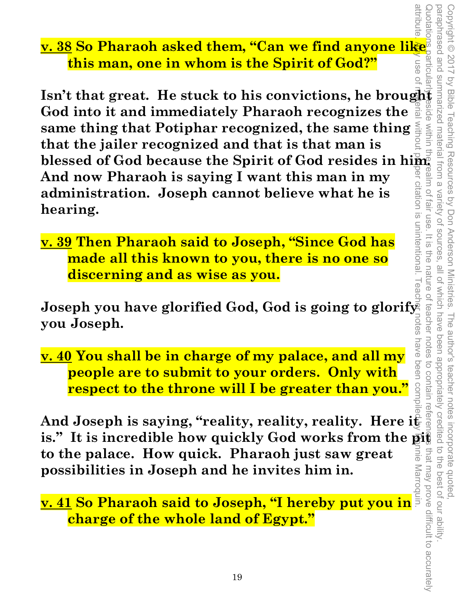**v. 38 So Pharaoh asked them, "Can we find anyone like this man, one in whom is the Spirit of God?"** 

**ISO Pharaoh asked them, "Can we find anyone like"**<br> **Isn't that great.** He stuck to his convictions, he brought  $\frac{3}{8}$  and the time in whom is the Spirit of God?"<br>
Isn't that great. He stuck to his convictions, he bro **God into it and immediately Pharaoh recognizes the same thing that Potiphar recognized, the same thing that the jailer recognized and that is that man is blessed of God because the Spirit of God resides in him. And now Pharaoh is saying I want this man in my administration. Joseph cannot believe what he is hearing.**  attribute. Any use of material without proper citation is unintentional. Teacher notes have been compiled by Ronnie Marroquin.

**v. 39 Then Pharaoh said to Joseph, "Since God has made all this known to you, there is no one so discerning and as wise as you.** 

Copyright © 2017 by Bible Teaching Resources by Don Anderson Ministries. The author's teacher notes incorporate quoted,

paraphrased and summarized material from a variety of sources, all of which have been appropriately credited to the best of our ability.

 $rac{1}{\sqrt{2}}$ 

the nature of

reacher

notes

attribute

**Joseph you have glorified God, God is going to glorify you Joseph.** 

**v. 40 You shall be in charge of my palace, and all my people are to submit to your orders. Only with respect to the throne will I be greater than you."** 

Quotations particularly eside within the realm of fair use. It is the nature of teacher notes to contain references that may prove difficult to accurately to contain refere And Joseph is saying, "reality, reality, reality. Here i<del>t </del> is." It is incredible how quickly God works from the pight **to the palace. How quick. Pharaoh just saw great**  that may prove difficult to accurately DIB **possibilities in Joseph and he invites him in. possibilities in Joseph and he invites him in.**<br>
<u>**v. 41 So Pharaoh said to Joseph, "I hereby put you in**</u>

**charge of the whole land of Egypt."**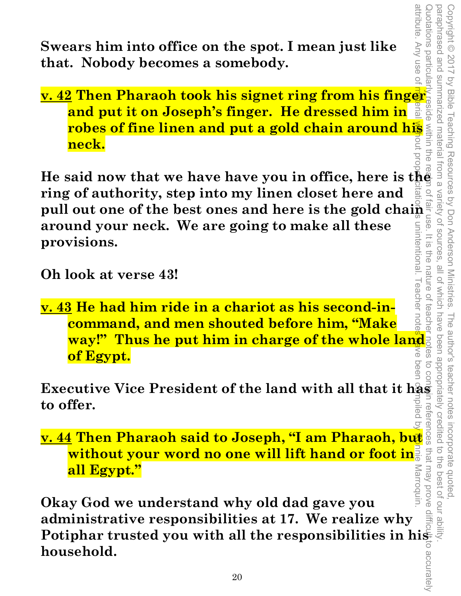**Swears him into office on the spot. I mean just like that. Nobody becomes a somebody.** 

**v. 42 Then Pharaoh took his signet ring from his finger and put it on Joseph's finger. He dressed him in robes of fine linen and put a gold chain around his neck.** 

attribute. Any use of material without proper citation is unintentional. Teacher notes have been compiled by Ronnie Marroquin. **He said now that we have have you in office, here is the ring of authority, step into my linen closet here and pull out one of the best ones and here is the gold chain**  $\frac{1}{5}$  **around your neck. We are going to make all these around your neck. We are going to make all these**  unintentional. **provisions.** 

Copyright © 2017 by Bible Teaching Resources by Don Anderson Ministries. The author's teacher notes incorporate quoted,

The author's teacher notes

been appropriately creditec

incorporate quoted,<br>edited to the best of our ab

 $\ddot{\vec{d}}$ 

by Bible Teaching Resources by Don Anderson Ministries.

paraphrased and summarized material from a variety of sources, all of which have been appropriately credited to the best of our ability.

all of which have

variety of sources

 $\overline{\infty}$ 금<br>이

nature

attribute. Any use o

paraphrased and Copyright © 2017

summarized material from a

uotations particula

**Oh look at verse 43!** 

I eacher note **v. 43 He had him ride in a chariot as his second-incommand, and men shouted before him, "Make way!" Thus he put him in charge of the whole land** ⋦ **of Egypt.**  Deer

**Executive Vice President of the land with all that it has to offer.**  I refere

**v. 44 Then Pharaoh said to Joseph, "I am Pharaoh, but without your word no one will lift hand or foot in all Egypt."** 

Quotations particularly reside within the realm of fair use. It is the nature of teacher notes to contain references that may prove difficult to accurately that may prove Marroquin **Okay God we understand why old dad gave you administrative responsibilities at 17. We realize why Potiphar trusted you with all the responsibilities in his household.**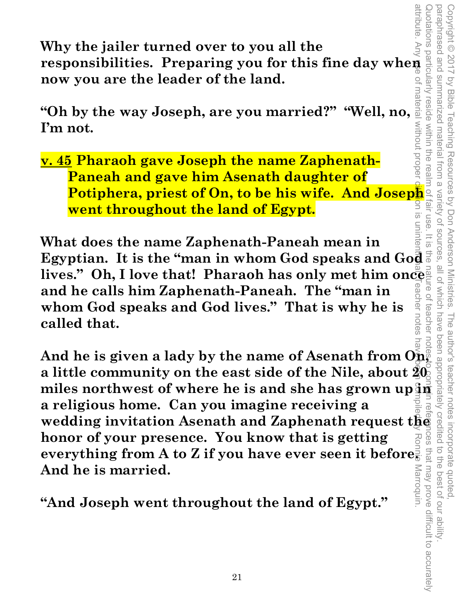attribute. Any **Proposibilities. Preparing you all the**<br> **responsibilities. Preparing you for this fine day when all now you are the leader of the land. Why the jailer turned over to you all the now you are the leader of the land.** 

**The Way Joseph, are you married?" "Well, no, and the way Joseph, are you married?" "Well, no,**  $\frac{1}{\frac{3}{2}}$ **<br>
I'm not.<br>
<u>Well, no,**  $\frac{1}{2}$ **</u><br>
<u>Well, no,</u>**  $\frac{1}{2}$ **<br>
<b>Porcept only gave Joseph the name Zaphenath-I'm not.** 

**v. 45 Pharaoh gave Joseph the name Zaphenath-Paneah and gave him Asenath daughter of Potiphera, priest of On, to be his wife. And Joseph and Went throughout the land of Egypt.** SI NC **went throughout the land of Egypt.** 

unintel **What does the name Zaphenath-Paneah mean in Egyptian.** It is the "man in whom God speaks and God" lives." Oh, I love that! Pharaoh has only met him once **and he calls him Zaphenath-Paneah. The "man in**   $\frac{1}{9}$ **whom God speaks and God lives." That is why he is**  LUOLGS **called that.** 

Copyright © 2017 by Bible Teaching Resources by Don Anderson Ministries. The author's teacher notes incorporate quoted,

paraphrased and summarized material from a variety of sources, all of which have been appropriately credited to the best of our ability.

all of which have  $\overline{O}$ 

teacher

 $\overline{\omega}$ 

paraphrased and summarized material from a variety of sources

reside within the rea

Copyright © 2017 by Bible Teaching Resources by Don Anderson Ministries.

attribute. Any use of material without proper citation is unintentional. Teacher notes have been compiled by Ronnie Marroquin. Quotations particularly reside within the realm of fair use. It is the nature of teacher notes to contain references that may prove difficult to accurately **Example 12**<br>
And he is given a lady by the name of Asenath from  $\overrightarrow{O}_{\overrightarrow{AB}}$  is  $\overrightarrow{AB}$  and<br>
a little community on the east side of the Nile, about  $\overrightarrow{BC}$  and<br>
miles northwest of where he is and she has grown up  $\over$ **And he is given a lady by the name of Asenath from On, a little community on the east side of the Nile, about 20 a religious home. Can you imagine receiving a wedding invitation Asenath and Zaphenath request the honor of your presence. You know that is getting**  ces that may prove difficult to accurately **everything from A to Z if you have ever seen it before. And he is married.** 

**"And Joseph went throughout the land of Egypt."**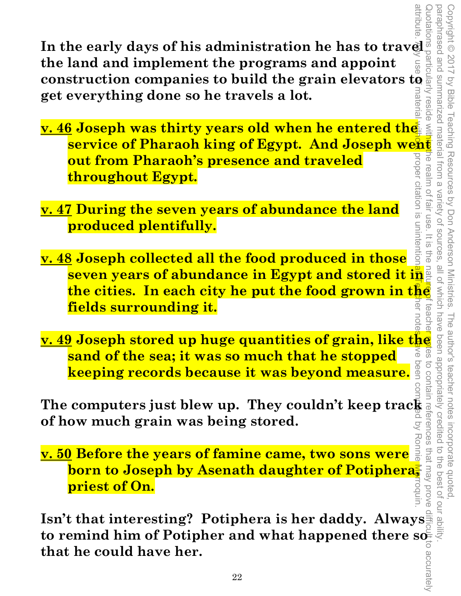**In the early days of his administration he has to travel as the land and implement the programs and appoint the land and implement the programs and appoint construction companies to build the grain elevators to get everything done so he travels a lot.**  natel

**service of Pharaoh king of Egypt. And Joseph went throughout Egypt.** attribute. Any use of material without proper citation is unintentional. Teacher notes have been compiled by Ronnie Marroquin. Leslqe **v. 46 Joseph was thirty years old when he entered the out from Pharaoh's presence and traveled**  prope ne realm of **throughout Egypt.** 

**v. 47 During the seven years of abundance the land produced plentifully.** 

citation is unintentior **v. 48 Joseph collected all the food produced in those seven years of abundance in Egypt and stored it in the cities. In each city he put the food grown in the fields surrounding it.** 

Copyright © 2017 by Bible Teaching Resources by Don Anderson Ministries. The author's teacher notes incorporate quoted,

Variety of sources fair use

all of Which have

teache สิ

බි

 $=$   $\frac{1}{2}$ 

Copyright © 2017 by Bible Teaching Resources by Don Anderson Ministries.

**sand of the sea; it was so much that he stopped**  peen **keeping records because it was beyond measure.** 

**The computers just blew up. They couldn't keep track and the computers just blew up. They couldn't keep track and of how much grain was being stored. of how much grain was being stored.**   $\overline{Q}$ 

**v. 49 Joseph stored up huge quantities of grain, like the <br>
sand of the sea; it was so much that he stopped<br>
keeping records because it was beyond measure.<br>
The computers just blew up. They couldn't keep tracking<br>
of how v. 50 Before the years of famine came, two sons were born to Joseph by Asenath daughter of Potiphera, priest of On.** 

**Isn't that interesting? Potiphera is her daddy. Always**  to remind him of Potipher and what happened there  $\mathbf{s}$ **that he could have her.**  paraphrased and summarized material from a variety of sources, all of which have been appropriately credited to the best of our ability. Quotations particularly reside with the realm of fair use. It is the nature of teacher motes to contain references that may prove difficult to accurately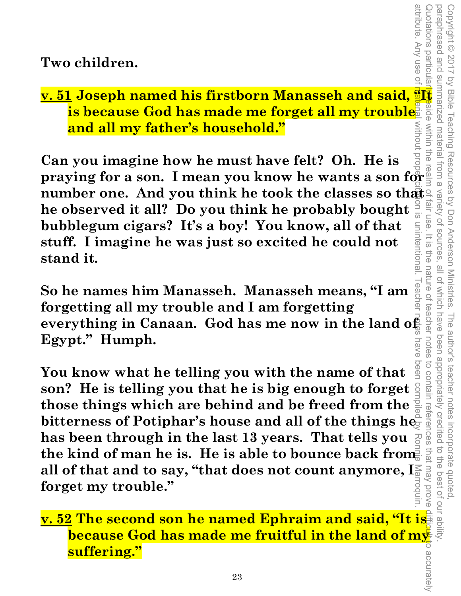**Two children.** 

# **v. 51 Joseph named his firstborn Manasseh and said,**  $\frac{a}{B}$  $\frac{b}{B}$  **is because God has made me forget all my trouble**  $\frac{c}{B}$  $\frac{c}{B}$  $\frac{c}{B}$  **and all my father's household." is because God has made me forget all my trouble MILDOUT and all my father's household."**

**Can you imagine how he must have felt? Oh. He is praying for a son. I mean you know he wants a son for number one. And you think he took the classes so that a**<br>he observed it all? Do you think he probably bought  $\frac{2}{3}$ <br>hubblegum cigars? It's a boy! You know, all of that **he observed it all? Do you think he probably bought**   $\overline{5}$ **bubblegum cigars? It's a boy! You know, all of that**  unintentiona **stuff. I imagine he was just so excited he could not stand it.** 

Copyright © 2017 by Bible Teaching Resources by Don Anderson Ministries. The author's teacher notes incorporate quoted,

The author's teacher notes

been appropriately credited

to contain references

avoid vem tem

Copyright © 2017 by Bible Teaching Resources by Don Anderson Ministries.

from a

Variety of sources

 $rac{1}{\sqrt{2}}$ 

ine

nature o

teacher notes

paraphrased and summarized material from a variety of sources, all of which have been appropriately credited to the best of our ability.

all of Which have

attribute. Any use of

eluotations particula

side within the

paraphrased and

**I eache So he names him Manasseh. Manasseh means, "I am forgetting all my trouble and I am forgetting**  everything in Canaan. God has me now in the land of **Egypt." Humph.**  nave

**You know what he telling you with the name of that son? He is telling you that he is big enough to forget those things which are behind and be freed from the**  bitterness of Potiphar's house and all of the things he **has been through in the last 13 years. That tells you the kind of man he is. He is able to bounce back from all of that and to say, "that does not count anymore, I forget my trouble."**  attribute. Any use of material without proper citation is unintentional. Teacher notes have been compiled by Ronnie Marroquin.

**v. 52 The second son he named Ephraim and said, "It is because God has made me fruitful in the land of my suffering."**  Quotations particularly eside within the realm of fair use. It is the nature of teacher notes to contain references that may prove difficult to accurately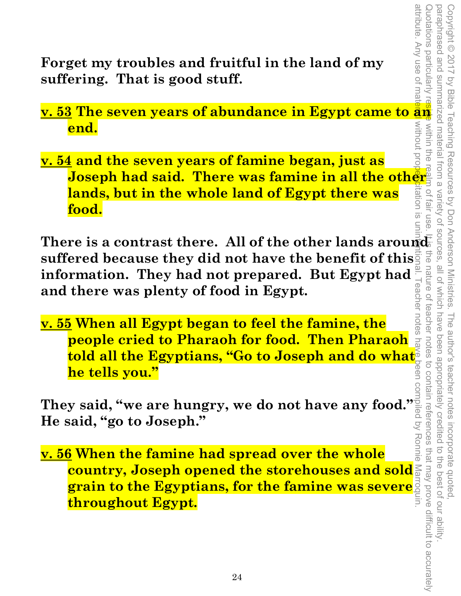attribute. Any use of mat

**Forget my troubles and fruitful in the land of my suffering. That is good stuff.** 

**MILDOUT end.** 

pro **v. 54 and the seven years of famine began, just as Joseph had said. There was famine in all the other lands, but in the whole land of Egypt there was food.** 

**Forget my troubles and fruitful in the land of my<br>
suffering. That is good stuff.**<br> **v. 53 The seven years of abundance in Egypt came to an allocated to an allocate the<br>
end.**<br> **v. 54 and the seven years of famine began,** There is a contrast there. All of the other lands around **suffered because they did not have the benefit of this**  information. They had not prepared. But Egypt had  $\frac{1}{2}$ <br>and there was plenty of food in Egypt.<br><u>v. 55 When all Egypt began to feel the famine, the</u> **and there was plenty of food in Egypt.**  attribute. Any use of material without prope<mark>ri</mark>citation is unintentional. Teacher notes have been compiled by Ronnie Marroquin.

**v. 55 When all Egypt began to feel the famine, the people cried to Pharaoh for food. Then Pharaoh told all the Egyptians, "Go to Joseph and do what he tells you."** 

**They said, "we are hungry, we do not have any food." He said, "go to Joseph."** 

**v. 56 When the famine had spread over the whole country, Joseph opened the storehouses and sold grain to the Egyptians, for the famine was severe throughout Egypt.**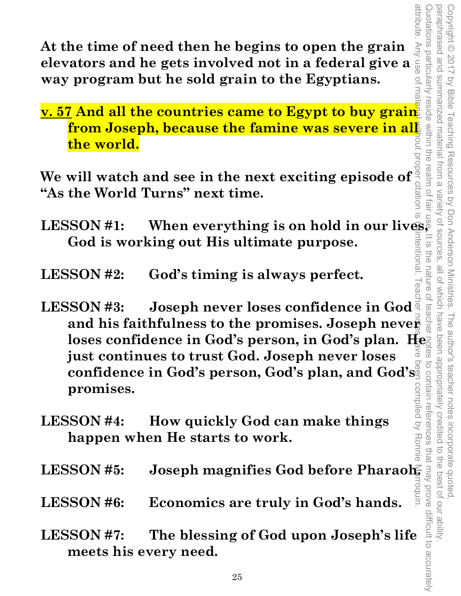attribute. Any use of material without proper citation is unintentional. Teacher notes have been compiled by Ronnie Marroquin. Quotations particularly reside within the realm of fair use. It is the nature of teacher notes to contain references that may prove difficult to accurately paraphrased and summarized material from a variety of sources, all of which have been appropriately credited to the best of our ability. Copyright © 2017 by Bible Teaching Resources by Don Anderson Ministries. The author's teacher notes incorporate quoted, paraphrased and summarized material from a Copyright © 2017 by Bible Teaching Resources by Don Anderson Ministries. votations particularly **reside** Variety of sources rentiona  $\overline{5}$ FIG<sub>O</sub> all of which have nature The author's teacher notes been appropriately credited to contain references i incorporate quoted,<br>redited to the best of our ability

**At the time of need then he begins to open the grain elevators and he gets involved not in a federal give a way program but he sold grain to the Egyptians.** 

**v. 57 And all the countries came to Egypt to buy grain from Joseph, because the famine was severe in all the world. LESSON #1:** When everything is on hold in our lives,<br>
Combined in the everything is on hold in our lives,<br>
Combined in the everything is on hold in our lives,

**We will watch and see in the next exciting episode of "As the World Turns" next time.** 

**God is working out His ultimate purpose.** 

**LESSON #2: God's timing is always perfect.** 

- **LESSON #3: Joseph never loses confidence in God and his faithfulness to the promises. Joseph never loses confidence in God's person, in God's plan. He just continues to trust God. Joseph never loses confidence in God's person, God's plan, and God's promises.**
- **LESSON #4: How quickly God can make things happen when He starts to work.**
- **LESSON #5: Joseph magnifies God before Pharaoh.**
- **LESSON #6: Economics are truly in God's hands.**
- **LESSON #7: The blessing of God upon Joseph's life meets his every need.**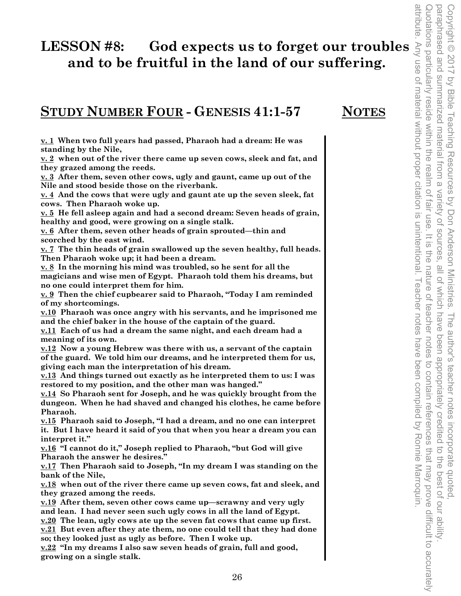# LESSON #8: God expects us to forget our troubles  $\frac{3}{2}$  and to be fruitful in the land of our suffering.<br>
STUDY NUMBER FOUR - GENESIS 41:1-57 MOTES  $\frac{3}{2}$  and  $\frac{3}{2}$  and  $\frac{3}{2}$  and  $\frac{3}{2}$  and  $\frac{3}{2}$  and **and to be fruitful in the land of our suffering.**

### **STUDY NUMBER FOUR - GENESIS 41:1-57 NOTES**

**v. 1 When two full years had passed, Pharaoh had a dream: He was standing by the Nile,** 

**v. 2 when out of the river there came up seven cows, sleek and fat, and they grazed among the reeds.** 

**v. 3 After them, seven other cows, ugly and gaunt, came up out of the Nile and stood beside those on the riverbank.** 

**v. 4 And the cows that were ugly and gaunt ate up the seven sleek, fat cows. Then Pharaoh woke up.** 

**v. 5 He fell asleep again and had a second dream: Seven heads of grain, healthy and good, were growing on a single stalk.** 

**v. 6 After them, seven other heads of grain sprouted—thin and scorched by the east wind.** 

**v. 7 The thin heads of grain swallowed up the seven healthy, full heads. Then Pharaoh woke up; it had been a dream.** 

**v. 8 In the morning his mind was troubled, so he sent for all the magicians and wise men of Egypt. Pharaoh told them his dreams, but no one could interpret them for him.** 

**v. 9 Then the chief cupbearer said to Pharaoh, "Today I am reminded of my shortcomings.** 

**v.10 Pharaoh was once angry with his servants, and he imprisoned me and the chief baker in the house of the captain of the guard.** 

**v.11 Each of us had a dream the same night, and each dream had a meaning of its own.** 

**v.12 Now a young Hebrew was there with us, a servant of the captain of the guard. We told him our dreams, and he interpreted them for us, giving each man the interpretation of his dream.** 

**v.13 And things turned out exactly as he interpreted them to us: I was restored to my position, and the other man was hanged."** 

**v.14 So Pharaoh sent for Joseph, and he was quickly brought from the dungeon. When he had shaved and changed his clothes, he came before Pharaoh.** 

**v.15 Pharaoh said to Joseph, "I had a dream, and no one can interpret it. But I have heard it said of you that when you hear a dream you can interpret it."** 

**v.16 "I cannot do it," Joseph replied to Pharaoh, "but God will give Pharaoh the answer he desires."** 

**v.17 Then Pharaoh said to Joseph, "In my dream I was standing on the bank of the Nile,** 

**v.18 when out of the river there came up seven cows, fat and sleek, and they grazed among the reeds.** 

**v.19 After them, seven other cows came up—scrawny and very ugly and lean. I had never seen such ugly cows in all the land of Egypt.** 

**v.20 The lean, ugly cows ate up the seven fat cows that came up first. v.21 But even after they ate them, no one could tell that they had done so; they looked just as ugly as before. Then I woke up.** 

**v.22 "In my dreams I also saw seven heads of grain, full and good, growing on a single stalk.**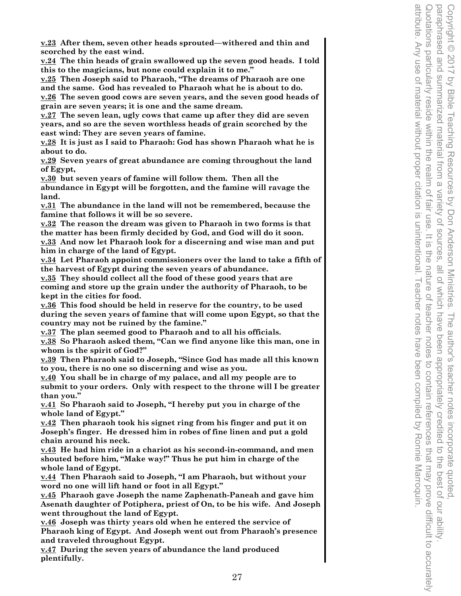**v.23 After them, seven other heads sprouted—withered and thin and scorched by the east wind.** 

**v.24 The thin heads of grain swallowed up the seven good heads. I told this to the magicians, but none could explain it to me."** 

**v.25 Then Joseph said to Pharaoh, "The dreams of Pharaoh are one and the same. God has revealed to Pharaoh what he is about to do.** 

**v.26 The seven good cows are seven years, and the seven good heads of grain are seven years; it is one and the same dream.** 

**v.27 The seven lean, ugly cows that came up after they did are seven years, and so are the seven worthless heads of grain scorched by the east wind: They are seven years of famine.** 

**v.28 It is just as I said to Pharaoh: God has shown Pharaoh what he is about to do.** 

**v.29 Seven years of great abundance are coming throughout the land of Egypt,** 

**v.30 but seven years of famine will follow them. Then all the abundance in Egypt will be forgotten, and the famine will ravage the land.** 

**v.31 The abundance in the land will not be remembered, because the famine that follows it will be so severe.** 

**v.32 The reason the dream was given to Pharaoh in two forms is that the matter has been firmly decided by God, and God will do it soon. v.33 And now let Pharaoh look for a discerning and wise man and put** 

**him in charge of the land of Egypt.** 

**v.34 Let Pharaoh appoint commissioners over the land to take a fifth of the harvest of Egypt during the seven years of abundance.** 

**v.35 They should collect all the food of these good years that are coming and store up the grain under the authority of Pharaoh, to be kept in the cities for food.** 

**v.36 This food should be held in reserve for the country, to be used during the seven years of famine that will come upon Egypt, so that the country may not be ruined by the famine."** 

**v.37 The plan seemed good to Pharaoh and to all his officials.** 

**v.38 So Pharaoh asked them, "Can we find anyone like this man, one in whom is the spirit of God?"** 

**v.39 Then Pharaoh said to Joseph, "Since God has made all this known to you, there is no one so discerning and wise as you.** 

**v.40 You shall be in charge of my palace, and all my people are to submit to your orders. Only with respect to the throne will I be greater than you."** 

**v.41 So Pharaoh said to Joseph, "I hereby put you in charge of the whole land of Egypt."** 

**v.42 Then pharaoh took his signet ring from his finger and put it on Joseph's finger. He dressed him in robes of fine linen and put a gold chain around his neck.** 

**v.43 He had him ride in a chariot as his second-in-command, and men shouted before him, "Make way!" Thus he put him in charge of the whole land of Egypt.** 

**v.44 Then Pharaoh said to Joseph, "I am Pharaoh, but without your word no one will lift hand or foot in all Egypt."** 

**v.45 Pharaoh gave Joseph the name Zaphenath-Paneah and gave him Asenath daughter of Potiphera, priest of On, to be his wife. And Joseph went throughout the land of Egypt.** 

**v.46 Joseph was thirty years old when he entered the service of Pharaoh king of Egypt. And Joseph went out from Pharaoh's presence and traveled throughout Egypt.** 

**v.47 During the seven years of abundance the land produced plentifully.**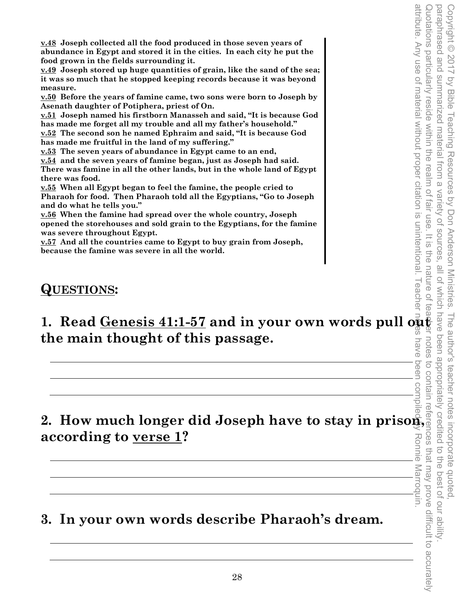**v.48 Joseph collected all the food produced in those seven years of abundance in Egypt and stored it in the cities. In each city he put the food grown in the fields surrounding it.** 

**v.49 Joseph stored up huge quantities of grain, like the sand of the sea; it was so much that he stopped keeping records because it was beyond measure.** 

**v.50 Before the years of famine came, two sons were born to Joseph by Asenath daughter of Potiphera, priest of On.** 

**v.51 Joseph named his firstborn Manasseh and said, "It is because God has made me forget all my trouble and all my father's household." v.52 The second son he named Ephraim and said, "It is because God has made me fruitful in the land of my suffering."** 

**v.53 The seven years of abundance in Egypt came to an end,** 

**v.54 and the seven years of famine began, just as Joseph had said. There was famine in all the other lands, but in the whole land of Egypt there was food.** 

**v.55 When all Egypt began to feel the famine, the people cried to Pharaoh for food. Then Pharaoh told all the Egyptians, "Go to Joseph and do what he tells you."** 

**v.56 When the famine had spread over the whole country, Joseph opened the storehouses and sold grain to the Egyptians, for the famine was severe throughout Egypt.** 

**v.57 And all the countries came to Egypt to buy grain from Joseph, because the famine was severe in all the world.** 

## **QUESTIONS:**

**1. Read <u>Genesis 41:1-57</u> and in your own words pull**  $\overline{\mathbf{Q}}_{\mathbf{S}}^{\mathbf{R}}$  **and**  $\overline{\mathbf{Q}}_{\mathbf{S}}^{\mathbf{R}}$  **and**  $\overline{\mathbf{Q}}_{\mathbf{S}}^{\mathbf{R}}$ **the main thought of this passage.**  have

attribute. Any use of material without proper citation is unintentional. Teacher notes have been compiled by Ronnie Marroquin. **2. How much longer did Joseph have to stay in prison, according to verse 1?**  Ronnie Marroquin.

# **3. In your own words describe Pharaoh's dream.**

attribute. Any use of material without proper citation is unintentional. I eacher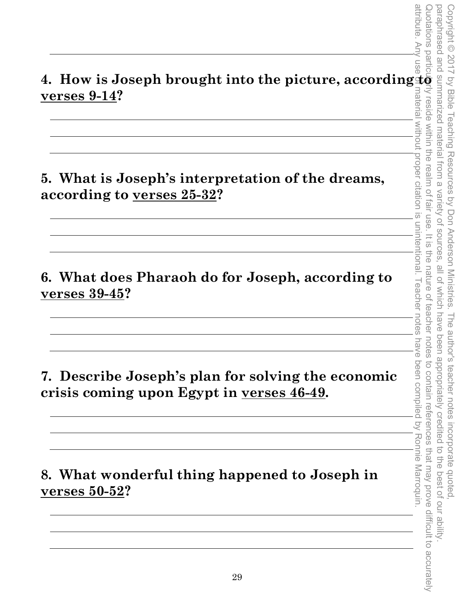**4. How is Joseph brought into the picture, according to a set of the verses 9-14?**<br> **4. How is Joseph brought into the picture, according to a set of a set of a set of a set of a set of a set of a set of a set of a set of verses 9-14?** 

**5. What is Joseph's interpretation of the dreams, according to verses 25-32?** 

**6. What does Pharaoh do for Joseph, according to verses 39-45?** 

**7. Describe Joseph's plan for solving the economic crisis coming upon Egypt in verses 46-49.** 

**8. What wonderful thing happened to Joseph in verses 50-52?**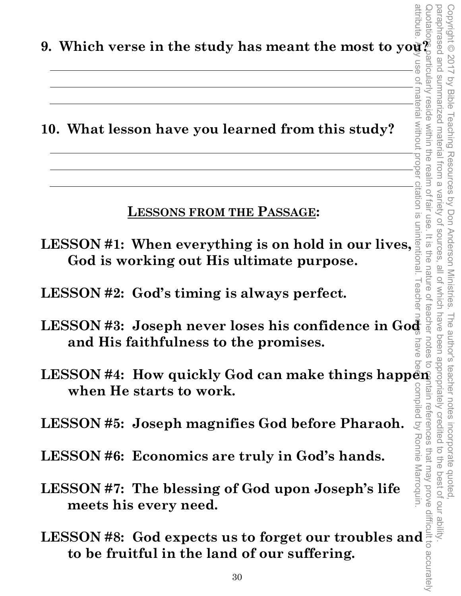**9. Which verse in the study has meant the most to you?**<br> **19. All in the study has meant the most to you?**<br>
<u>19. All is a discussed</u>

**10. What lesson have you learned from this study?** 

**LESSONS FROM THE PASSAGE:** 

**LESSON #1: When everything is on hold in our lives, God is working out His ultimate purpose.** 

Copyright © 2017 by Bible Teaching Resources by Don Anderson Ministries. The author's teacher notes incorporate quoted,

copyright © 2017 by Bible Teaching Resources by Don Anderson Ministries.

summarized material from a

reside within the realm of

material without

propel

si uoitet

fair use

 $rac{1}{\sqrt{2}}$ 

the nature o

teacher

notes

Ronnie Marroquin.

paraphrased and summarized material from a variety of sources, all of which have been appropriately credited to the best of our ability.

all of Which have

The author's teacher notes incorporate quoted,<br>have been appropriately credited to the best of our ability

Variety of sources

one beseurdered

- **LESSON #2: God's timing is always perfect.**
- attribute. Any use of material without proper citation is unintentional. Teacher notes have been compiled by Ronnie Marroquin. LESSON #3: Joseph never loses his confidence in God **and His faithfulness to the promises.**  ≲
- LESSON #4: How quickly God can make things happen **when He starts to work.**  yompiled by tain references

**LESSON #5: Joseph magnifies God before Pharaoh.** 

- **LESSON #6: Economics are truly in God's hands.**
- **LESSON #7: The blessing of God upon Joseph's life meets his every need.**
- **LESSON #6: Economics are truly in God's hands.**<br> **LESSON #7: The blessing of God upon Joseph's life**<br>
meets his every need.<br> **LESSON #8: God expects us to forget our troubles and**<br>
to be fruitful in the land of our suffer **to be fruitful in the land of our suffering.**  Quotations particularly reside within the realm of fair use. It is the nature of teacher notes to contain references that may prove difficult to accurately